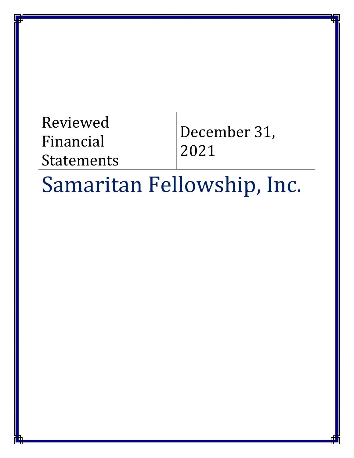# Reviewed Financial Statements December 31, 2021

# Samaritan Fellowship, Inc.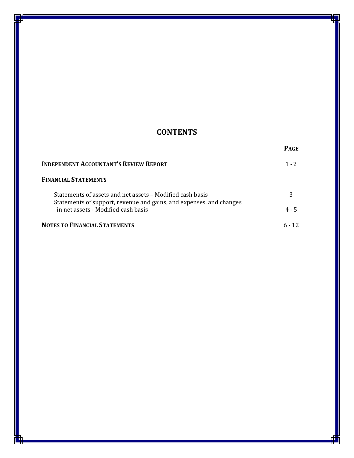# **CONTENTS**

|                                                                                                                                  | <b>PAGE</b> |
|----------------------------------------------------------------------------------------------------------------------------------|-------------|
| <b>INDEPENDENT ACCOUNTANT'S REVIEW REPORT</b>                                                                                    | $1 - 2$     |
| FINANCIAL STATEMENTS                                                                                                             |             |
| Statements of assets and net assets – Modified cash basis<br>Statements of support, revenue and gains, and expenses, and changes |             |
| in net assets - Modified cash basis                                                                                              | $4 - 5$     |
| NOTES TO FINANCIAL STATEMENTS                                                                                                    |             |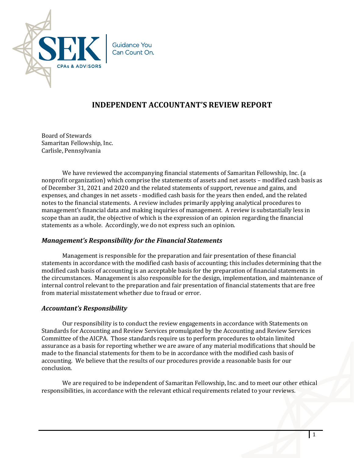

# **INDEPENDENT ACCOUNTANT'S REVIEW REPORT**

Board of Stewards Samaritan Fellowship, Inc. Carlisle, Pennsylvania

 We have reviewed the accompanying financial statements of Samaritan Fellowship, Inc. (a nonprofit organization) which comprise the statements of assets and net assets – modified cash basis as of December 31, 2021 and 2020 and the related statements of support, revenue and gains, and expenses, and changes in net assets - modified cash basis for the years then ended, and the related notes to the financial statements. A review includes primarily applying analytical procedures to management's financial data and making inquiries of management. A review is substantially less in scope than an audit, the objective of which is the expression of an opinion regarding the financial statements as a whole. Accordingly, we do not express such an opinion.

# *Management's Responsibility for the Financial Statements*

 Management is responsible for the preparation and fair presentation of these financial statements in accordance with the modified cash basis of accounting; this includes determining that the modified cash basis of accounting is an acceptable basis for the preparation of financial statements in the circumstances. Management is also responsible for the design, implementation, and maintenance of internal control relevant to the preparation and fair presentation of financial statements that are free from material misstatement whether due to fraud or error.

### *Accountant's Responsibility*

Our responsibility is to conduct the review engagements in accordance with Statements on Standards for Accounting and Review Services promulgated by the Accounting and Review Services Committee of the AICPA. Those standards require us to perform procedures to obtain limited assurance as a basis for reporting whether we are aware of any material modifications that should be made to the financial statements for them to be in accordance with the modified cash basis of accounting. We believe that the results of our procedures provide a reasonable basis for our conclusion.

We are required to be independent of Samaritan Fellowship, Inc. and to meet our other ethical responsibilities, in accordance with the relevant ethical requirements related to your reviews.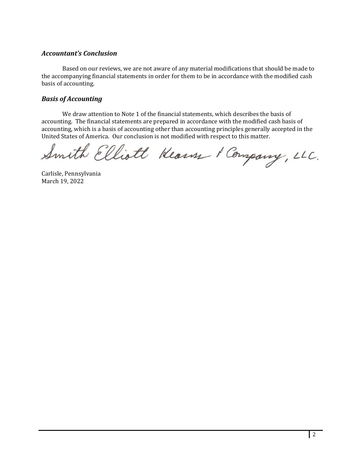# *Accountant's Conclusion*

Based on our reviews, we are not aware of any material modifications that should be made to the accompanying financial statements in order for them to be in accordance with the modified cash basis of accounting.

## *Basis of Accounting*

We draw attention to Note 1 of the financial statements, which describes the basis of accounting. The financial statements are prepared in accordance with the modified cash basis of accounting, which is a basis of accounting other than accounting principles generally accepted in the

United States of America. Our conclusion is not modified with respect to this matter.<br>Smith Elliott Kearn & Company, LLC.

Carlisle, Pennsylvania March 19, 2022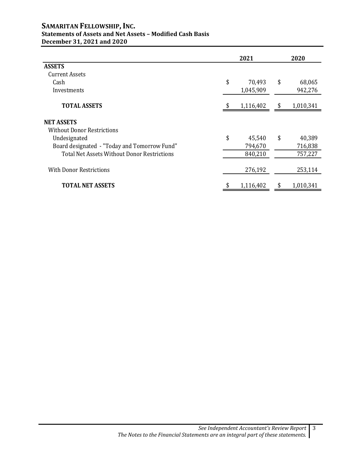### **SAMARITAN FELLOWSHIP, INC. Statements of Assets and Net Assets – Modified Cash Basis December 31, 2021 and 2020**

|                                                    | 2021            | 2020 |           |  |
|----------------------------------------------------|-----------------|------|-----------|--|
| <b>ASSETS</b>                                      |                 |      |           |  |
| <b>Current Assets</b>                              |                 |      |           |  |
| Cash                                               | \$<br>70,493    | \$   | 68,065    |  |
| Investments                                        | 1,045,909       |      | 942,276   |  |
| <b>TOTAL ASSETS</b>                                | 1,116,402       | S    | 1,010,341 |  |
| <b>NET ASSETS</b>                                  |                 |      |           |  |
| <b>Without Donor Restrictions</b>                  |                 |      |           |  |
| Undesignated                                       | \$<br>45,540    | \$   | 40,389    |  |
| Board designated - "Today and Tomorrow Fund"       | 794,670         |      | 716,838   |  |
| <b>Total Net Assets Without Donor Restrictions</b> | 840,210         |      | 757,227   |  |
| <b>With Donor Restrictions</b>                     | 276,192         |      | 253,114   |  |
| <b>TOTAL NET ASSETS</b>                            | \$<br>1,116,402 | \$   | 1,010,341 |  |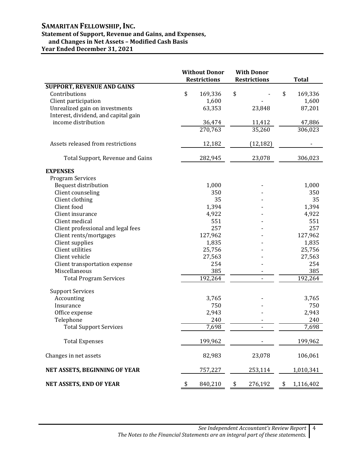# **SAMARITAN FELLOWSHIP, INC.**

# **Statement of Support, Revenue and Gains, and Expenses,**

 **and Changes in Net Assets – Modified Cash Basis**

**Year Ended December 31, 2021**

|                                      | <b>Without Donor</b><br><b>Restrictions</b> |         | <b>With Donor</b><br><b>Restrictions</b> | <b>Total</b>    |
|--------------------------------------|---------------------------------------------|---------|------------------------------------------|-----------------|
| <b>SUPPORT, REVENUE AND GAINS</b>    |                                             |         |                                          |                 |
| Contributions                        | \$                                          | 169,336 | \$                                       | \$<br>169,336   |
| Client participation                 |                                             | 1,600   |                                          | 1,600           |
| Unrealized gain on investments       |                                             | 63,353  | 23,848                                   | 87,201          |
| Interest, dividend, and capital gain |                                             |         |                                          |                 |
| income distribution                  |                                             | 36,474  | 11,412                                   | 47,886          |
|                                      |                                             | 270,763 | 35,260                                   | 306,023         |
| Assets released from restrictions    |                                             | 12,182  | (12, 182)                                |                 |
| Total Support, Revenue and Gains     |                                             | 282,945 | 23,078                                   | 306,023         |
| <b>EXPENSES</b>                      |                                             |         |                                          |                 |
| <b>Program Services</b>              |                                             |         |                                          |                 |
| <b>Bequest distribution</b>          |                                             | 1,000   |                                          | 1,000           |
| Client counseling                    |                                             | 350     |                                          | 350             |
| Client clothing                      |                                             | 35      |                                          | 35              |
| Client food                          |                                             | 1,394   |                                          | 1,394           |
| Client insurance                     |                                             | 4,922   |                                          | 4,922           |
| Client medical                       |                                             | 551     |                                          | 551             |
| Client professional and legal fees   |                                             | 257     |                                          | 257             |
| Client rents/mortgages               |                                             | 127,962 |                                          | 127,962         |
| Client supplies                      |                                             | 1,835   |                                          | 1,835           |
| Client utilities                     |                                             | 25,756  |                                          | 25,756          |
| Client vehicle                       |                                             | 27,563  |                                          | 27,563          |
| Client transportation expense        |                                             | 254     |                                          | 254             |
| Miscellaneous                        |                                             | 385     |                                          | 385             |
| <b>Total Program Services</b>        |                                             | 192,264 |                                          | 192,264         |
| <b>Support Services</b>              |                                             |         |                                          |                 |
| Accounting                           |                                             | 3,765   |                                          | 3,765           |
| Insurance                            |                                             | 750     |                                          | 750             |
| Office expense                       |                                             | 2,943   |                                          | 2,943           |
| Telephone                            |                                             | 240     |                                          | 240             |
| <b>Total Support Services</b>        |                                             | 7,698   |                                          | 7,698           |
| <b>Total Expenses</b>                |                                             | 199,962 |                                          | 199,962         |
| Changes in net assets                |                                             | 82,983  | 23,078                                   | 106,061         |
| NET ASSETS, BEGINNING OF YEAR        |                                             | 757,227 | 253,114                                  | 1,010,341       |
| NET ASSETS, END OF YEAR              | \$                                          | 840,210 | \$<br>276,192                            | \$<br>1,116,402 |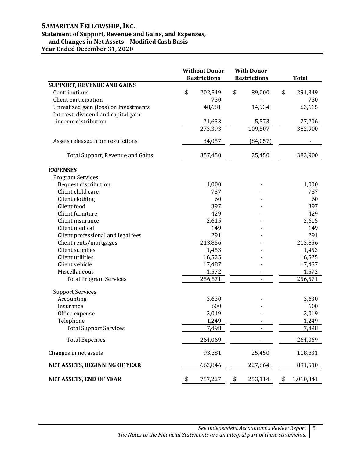# **SAMARITAN FELLOWSHIP, INC.**

# **Statement of Support, Revenue and Gains, and Expenses,**

 **and Changes in Net Assets – Modified Cash Basis**

**Year Ended December 31, 2020**

|                                       |    | <b>Without Donor</b><br><b>Restrictions</b> | <b>With Donor</b><br><b>Restrictions</b> |           | <b>Total</b>    |  |
|---------------------------------------|----|---------------------------------------------|------------------------------------------|-----------|-----------------|--|
| <b>SUPPORT, REVENUE AND GAINS</b>     |    |                                             |                                          |           |                 |  |
| Contributions                         | \$ | 202,349                                     | \$                                       | 89,000    | \$<br>291,349   |  |
| Client participation                  |    | 730                                         |                                          |           | 730             |  |
| Unrealized gain (loss) on investments |    | 48,681                                      |                                          | 14,934    | 63,615          |  |
| Interest, dividend and capital gain   |    |                                             |                                          |           |                 |  |
| income distribution                   |    | 21,633                                      |                                          | 5,573     | 27,206          |  |
|                                       |    | 273,393                                     |                                          | 109,507   | 382,900         |  |
| Assets released from restrictions     |    | 84,057                                      |                                          | (84, 057) |                 |  |
| Total Support, Revenue and Gains      |    | 357,450                                     |                                          | 25,450    | 382,900         |  |
| <b>EXPENSES</b>                       |    |                                             |                                          |           |                 |  |
| <b>Program Services</b>               |    |                                             |                                          |           |                 |  |
| Bequest distribution                  |    | 1,000                                       |                                          |           | 1,000           |  |
| Client child care                     |    | 737                                         |                                          |           | 737             |  |
| Client clothing                       |    | 60                                          |                                          |           | 60              |  |
| Client food                           |    | 397                                         |                                          |           | 397             |  |
| Client furniture                      |    | 429                                         |                                          |           | 429             |  |
| Client insurance                      |    | 2,615                                       |                                          |           | 2,615           |  |
| Client medical                        |    | 149                                         |                                          |           | 149             |  |
| Client professional and legal fees    |    | 291                                         |                                          |           | 291             |  |
| Client rents/mortgages                |    | 213,856                                     |                                          |           | 213,856         |  |
| Client supplies                       |    | 1,453                                       |                                          |           | 1,453           |  |
| Client utilities                      |    | 16,525                                      |                                          |           | 16,525          |  |
| Client vehicle                        |    | 17,487                                      |                                          |           | 17,487          |  |
| Miscellaneous                         |    | 1,572                                       |                                          |           | 1,572           |  |
| <b>Total Program Services</b>         |    | 256,571                                     |                                          |           | 256,571         |  |
| <b>Support Services</b>               |    |                                             |                                          |           |                 |  |
| Accounting                            |    | 3,630                                       |                                          |           | 3,630           |  |
| Insurance                             |    | 600                                         |                                          |           | 600             |  |
| Office expense                        |    | 2,019                                       |                                          |           | 2,019           |  |
| Telephone                             |    | 1,249                                       |                                          |           | 1,249           |  |
| <b>Total Support Services</b>         |    | 7,498                                       |                                          |           | 7,498           |  |
| <b>Total Expenses</b>                 |    | 264,069                                     |                                          |           | 264,069         |  |
| Changes in net assets                 |    | 93,381                                      |                                          | 25,450    | 118,831         |  |
| NET ASSETS, BEGINNING OF YEAR         |    | 663,846                                     |                                          | 227,664   | 891,510         |  |
| <b>NET ASSETS, END OF YEAR</b>        | S  | 757,227                                     | \$                                       | 253,114   | \$<br>1,010,341 |  |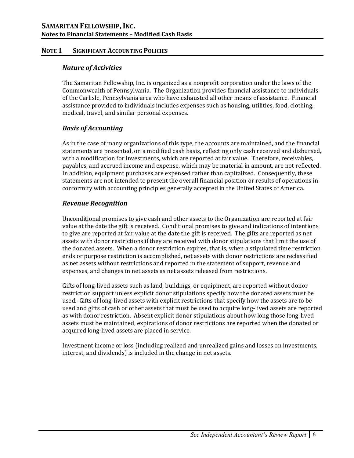## **NOTE 1 SIGNIFICANT ACCOUNTING POLICIES**

# *Nature of Activities*

The Samaritan Fellowship, Inc. is organized as a nonprofit corporation under the laws of the Commonwealth of Pennsylvania. The Organization provides financial assistance to individuals of the Carlisle, Pennsylvania area who have exhausted all other means of assistance. Financial assistance provided to individuals includes expenses such as housing, utilities, food, clothing, medical, travel, and similar personal expenses.

# *Basis of Accounting*

As in the case of many organizations of this type, the accounts are maintained, and the financial statements are presented, on a modified cash basis, reflecting only cash received and disbursed, with a modification for investments, which are reported at fair value. Therefore, receivables, payables, and accrued income and expense, which may be material in amount, are not reflected. In addition, equipment purchases are expensed rather than capitalized. Consequently, these statements are not intended to present the overall financial position or results of operations in conformity with accounting principles generally accepted in the United States of America.

# *Revenue Recognition*

 Unconditional promises to give cash and other assets to the Organization are reported at fair value at the date the gift is received. Conditional promises to give and indications of intentions to give are reported at fair value at the date the gift is received. The gifts are reported as net assets with donor restrictions if they are received with donor stipulations that limit the use of the donated assets. When a donor restriction expires, that is, when a stipulated time restriction ends or purpose restriction is accomplished, net assets with donor restrictions are reclassified as net assets without restrictions and reported in the statement of support, revenue and expenses, and changes in net assets as net assets released from restrictions.

 Gifts of long-lived assets such as land, buildings, or equipment, are reported without donor restriction support unless explicit donor stipulations specify how the donated assets must be used. Gifts of long-lived assets with explicit restrictions that specify how the assets are to be used and gifts of cash or other assets that must be used to acquire long-lived assets are reported as with donor restriction. Absent explicit donor stipulations about how long those long-lived assets must be maintained, expirations of donor restrictions are reported when the donated or acquired long-lived assets are placed in service.

 Investment income or loss (including realized and unrealized gains and losses on investments, interest, and dividends) is included in the change in net assets.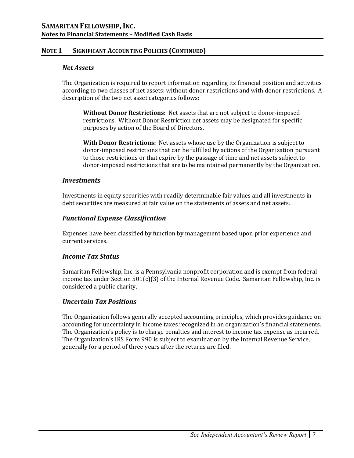## **NOTE 1 SIGNIFICANT ACCOUNTING POLICIES (CONTINUED)**

#### *Net Assets*

The Organization is required to report information regarding its financial position and activities according to two classes of net assets: without donor restrictions and with donor restrictions. A description of the two net asset categories follows:

**Without Donor Restrictions:** Net assets that are not subject to donor-imposed restrictions. Without Donor Restriction net assets may be designated for specific purposes by action of the Board of Directors.

**With Donor Restrictions:** Net assets whose use by the Organization is subject to donor-imposed restrictions that can be fulfilled by actions of the Organization pursuant to those restrictions or that expire by the passage of time and net assets subject to donor-imposed restrictions that are to be maintained permanently by the Organization.

#### *Investments*

 Investments in equity securities with readily determinable fair values and all investments in debt securities are measured at fair value on the statements of assets and net assets.

## *Functional Expense Classification*

Expenses have been classified by function by management based upon prior experience and current services.

## *Income Tax Status*

Samaritan Fellowship, Inc. is a Pennsylvania nonprofit corporation and is exempt from federal income tax under Section 501(c)(3) of the Internal Revenue Code. Samaritan Fellowship, Inc. is considered a public charity.

### *Uncertain Tax Positions*

The Organization follows generally accepted accounting principles, which provides guidance on accounting for uncertainty in income taxes recognized in an organization's financial statements. The Organization's policy is to charge penalties and interest to income tax expense as incurred. The Organization's IRS Form 990 is subject to examination by the Internal Revenue Service, generally for a period of three years after the returns are filed.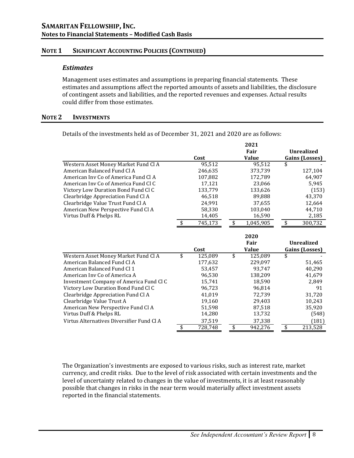## **NOTE 1 SIGNIFICANT ACCOUNTING POLICIES (CONTINUED)**

#### *Estimates*

Management uses estimates and assumptions in preparing financial statements. These estimates and assumptions affect the reported amounts of assets and liabilities, the disclosure of contingent assets and liabilities, and the reported revenues and expenses. Actual results could differ from those estimates.

#### **NOTE 2 INVESTMENTS**

Details of the investments held as of December 31, 2021 and 2020 are as follows:

|                                           |               | 2021            |                       |
|-------------------------------------------|---------------|-----------------|-----------------------|
|                                           |               | Fair            | <b>Unrealized</b>     |
|                                           | Cost          | <b>Value</b>    | <b>Gains (Losses)</b> |
| Western Asset Money Market Fund Cl A      | 95,512        | 95,512          | \$                    |
| American Balanced Fund Cl A               | 246,635       | 373,739         | 127,104               |
| American Inv Co of America Fund Cl A      | 107,882       | 172,789         | 64,907                |
| American Inv Co of America Fund Cl C      | 17,121        | 23,066          | 5,945                 |
| Victory Low Duration Bond Fund Cl C       | 133,779       | 133,626         | (153)                 |
| Clearbridge Appreciation Fund Cl A        | 46,518        | 89,888          | 43,370                |
| Clearbridge Value Trust Fund Cl A         | 24,991        | 37,655          | 12,664                |
| American New Perspective Fund Cl A        | 58,330        | 103,040         | 44,710                |
| Virtus Duff & Phelps RL                   | 14,405        | 16,590          | 2,185                 |
|                                           | \$<br>745,173 | \$<br>1,045,905 | \$<br>300,732         |
|                                           |               | 2020            |                       |
|                                           |               | Fair            | <b>Unrealized</b>     |
|                                           | Cost          | <b>Value</b>    | <b>Gains (Losses)</b> |
| Western Asset Money Market Fund Cl A      | \$<br>125,089 | \$<br>125,089   | \$                    |
| American Balanced Fund Cl A               | 177,632       | 229,097         | 51,465                |
| American Balanced Fund Cl 1               | 53.457        | 93.747          | 40,290                |
| American Inv Co of America A              | 96,530        | 138,209         | 41,679                |
| Investment Company of America Fund Cl C   | 15,741        | 18,590          | 2,849                 |
| Victory Low Duration Bond Fund Cl C       | 96,723        | 96,814          | 91                    |
| Clearbridge Appreciation Fund Cl A        | 41,019        | 72,739          | 31,720                |
| Clearbridge Value Trust A                 | 19,160        | 29,403          | 10,243                |
| American New Perspective Fund Cl A        | 51,598        | 87,518          | 35,920                |
| Virtus Duff & Phelps RL                   | 14,280        | 13,732          | (548)                 |
| Virtus Alternatives Diversifier Fund Cl A | 37,519        | 37,338          | (181)                 |
|                                           | \$<br>728,748 | \$<br>942,276   | \$<br>213,528         |
|                                           |               |                 |                       |

The Organization's investments are exposed to various risks, such as interest rate, market currency, and credit risks. Due to the level of risk associated with certain investments and the level of uncertainty related to changes in the value of investments, it is at least reasonably possible that changes in risks in the near term would materially affect investment assets reported in the financial statements.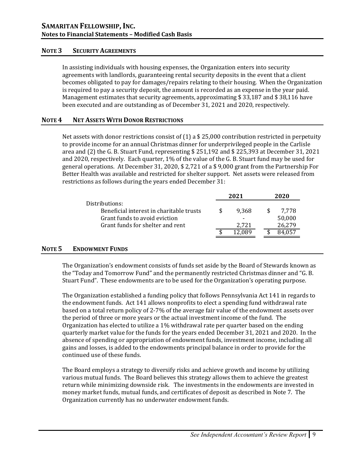#### **NOTE 3 SECURITY AGREEMENTS**

In assisting individuals with housing expenses, the Organization enters into security agreements with landlords, guaranteeing rental security deposits in the event that a client becomes obligated to pay for damages/repairs relating to their housing. When the Organization is required to pay a security deposit, the amount is recorded as an expense in the year paid. Management estimates that security agreements, approximating \$ 33,187 and \$ 38,116 have been executed and are outstanding as of December 31, 2021 and 2020, respectively.

#### **NOTE 4 NET ASSETS WITH DONOR RESTRICTIONS**

Net assets with donor restrictions consist of (1) a \$25,000 contribution restricted in perpetuity to provide income for an annual Christmas dinner for underprivileged people in the Carlisle area and (2) the G. B. Stuart Fund, representing \$ 251,192 and \$ 225,393 at December 31, 2021 and 2020, respectively. Each quarter, 1% of the value of the G. B. Stuart fund may be used for general operations. At December 31, 2020, \$ 2,721 of a \$ 9,000 grant from the Partnership For Better Health was available and restricted for shelter support. Net assets were released from restrictions as follows during the years ended December 31:

|                                          | 2021 |       | 2020   |
|------------------------------------------|------|-------|--------|
| Distributions:                           |      |       |        |
| Beneficial interest in charitable trusts |      | 9.368 | 7.778  |
| Grant funds to avoid eviction            |      |       | 50,000 |
| Grant funds for shelter and rent         |      | 2.721 | 26,279 |
|                                          |      |       |        |

### **NOTE 5 ENDOWMENT FUNDS**

The Organization's endowment consists of funds set aside by the Board of Stewards known as the "Today and Tomorrow Fund" and the permanently restricted Christmas dinner and "G. B. Stuart Fund". These endowments are to be used for the Organization's operating purpose.

The Organization established a funding policy that follows Pennsylvania Act 141 in regards to the endowment funds. Act 141 allows nonprofits to elect a spending fund withdrawal rate based on a total return policy of 2-7% of the average fair value of the endowment assets over the period of three or more years or the actual investment income of the fund. The Organization has elected to utilize a 1% withdrawal rate per quarter based on the ending quarterly market value for the funds for the years ended December 31, 2021 and 2020. In the absence of spending or appropriation of endowment funds, investment income, including all gains and losses, is added to the endowments principal balance in order to provide for the continued use of these funds.

The Board employs a strategy to diversify risks and achieve growth and income by utilizing various mutual funds. The Board believes this strategy allows them to achieve the greatest return while minimizing downside risk. The investments in the endowments are invested in money market funds, mutual funds, and certificates of deposit as described in Note 7. The Organization currently has no underwater endowment funds.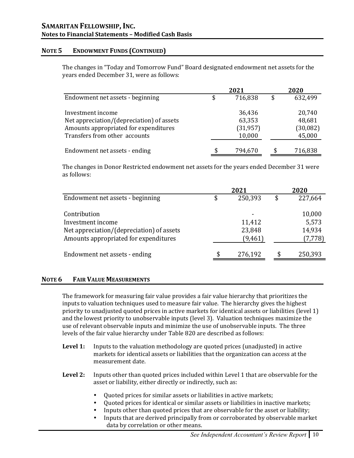## **NOTE 5 ENDOWMENT FUNDS (CONTINUED)**

The changes in "Today and Tomorrow Fund" Board designated endowment net assets for the years ended December 31, were as follows:

|                                           | 2021          |   | 2020      |
|-------------------------------------------|---------------|---|-----------|
| Endowment net assets - beginning          | \$<br>716,838 | S | 632,499   |
| Investment income                         | 36,436        |   | 20,740    |
| Net appreciation/(depreciation) of assets | 63,353        |   | 48,681    |
| Amounts appropriated for expenditures     | (31, 957)     |   | (30, 082) |
| Transfers from other accounts             | 10,000        |   | 45,000    |
|                                           |               |   |           |
| Endowment net assets - ending             | \$<br>794,670 |   | 716,838   |

The changes in Donor Restricted endowment net assets for the years ended December 31 were as follows:

|                                           | 2021          | 2020          |
|-------------------------------------------|---------------|---------------|
| Endowment net assets - beginning          | \$<br>250,393 | \$<br>227,664 |
| Contribution                              |               | 10,000        |
| Investment income                         | 11,412        | 5,573         |
| Net appreciation/(depreciation) of assets | 23,848        | 14,934        |
| Amounts appropriated for expenditures     | (9, 461)      | (7, 778)      |
| Endowment net assets - ending             | \$<br>276,192 | 250,393       |
|                                           |               |               |

### **NOTE 6 FAIR VALUE MEASUREMENTS**

The framework for measuring fair value provides a fair value hierarchy that prioritizes the inputs to valuation techniques used to measure fair value. The hierarchy gives the highest priority to unadjusted quoted prices in active markets for identical assets or liabilities (level 1) and the lowest priority to unobservable inputs (level 3). Valuation techniques maximize the use of relevant observable inputs and minimize the use of unobservable inputs. The three levels of the fair value hierarchy under Table 820 are described as follows:

- **Level 1:** Inputs to the valuation methodology are quoted prices (unadjusted) in active markets for identical assets or liabilities that the organization can access at the measurement date.
- **Level 2:** Inputs other than quoted prices included within Level 1 that are observable for the asset or liability, either directly or indirectly, such as:
	- Quoted prices for similar assets or liabilities in active markets;
	- Quoted prices for identical or similar assets or liabilities in inactive markets;
	- Inputs other than quoted prices that are observable for the asset or liability;
	- Inputs that are derived principally from or corroborated by observable market data by correlation or other means.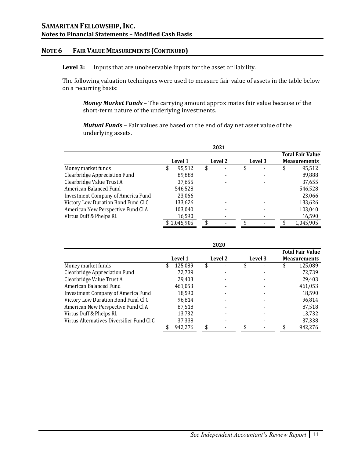#### **NOTE 6 FAIR VALUE MEASUREMENTS (CONTINUED)**

**Level 3:** Inputs that are unobservable inputs for the asset or liability.

The following valuation techniques were used to measure fair value of assets in the table below on a recurring basis:

*Money Market Funds* – The carrying amount approximates fair value because of the short-term nature of the underlying investments.

*Mutual Funds* – Fair values are based on the end of day net asset value of the underlying assets.

|                                           |              |  | 2021    |  |         |  |                         |
|-------------------------------------------|--------------|--|---------|--|---------|--|-------------------------|
|                                           |              |  |         |  |         |  | <b>Total Fair Value</b> |
|                                           | Level 1      |  | Level 2 |  | Level 3 |  | <b>Measurements</b>     |
| Money market funds                        | \$<br>95,512 |  |         |  |         |  | 95,512                  |
| Clearbridge Appreciation Fund             | 89,888       |  |         |  |         |  | 89,888                  |
| Clearbridge Value Trust A                 | 37,655       |  |         |  |         |  | 37,655                  |
| American Balanced Fund                    | 546,528      |  |         |  |         |  | 546,528                 |
| <b>Investment Company of America Fund</b> | 23,066       |  |         |  |         |  | 23,066                  |
| Victory Low Duration Bond Fund Cl C       | 133,626      |  |         |  |         |  | 133,626                 |
| American New Perspective Fund Cl A        | 103,040      |  |         |  |         |  | 103,040                 |
| Virtus Duff & Phelps RL                   | 16,590       |  |         |  |         |  | 16,590                  |
|                                           | \$1,045,905  |  |         |  |         |  | 1,045,905               |

|                                           |               |    | ZUZU    |         |   |                         |
|-------------------------------------------|---------------|----|---------|---------|---|-------------------------|
|                                           |               |    |         |         |   | <b>Total Fair Value</b> |
|                                           | Level 1       |    | Level 2 | Level 3 |   | <b>Measurements</b>     |
| Money market funds                        | \$<br>125,089 | \$ |         | \$      | S | 125,089                 |
| Clearbridge Appreciation Fund             | 72,739        |    |         |         |   | 72,739                  |
| Clearbridge Value Trust A                 | 29,403        |    |         |         |   | 29,403                  |
| American Balanced Fund                    | 461,053       |    |         |         |   | 461,053                 |
| <b>Investment Company of America Fund</b> | 18,590        |    |         |         |   | 18,590                  |
| Victory Low Duration Bond Fund Cl C       | 96.814        |    |         |         |   | 96,814                  |
| American New Perspective Fund Cl A        | 87,518        |    |         |         |   | 87,518                  |
| Virtus Duff & Phelps RL                   | 13,732        |    |         |         |   | 13,732                  |
| Virtus Alternatives Diversifier Fund Cl C | 37,338        |    |         |         |   | 37,338                  |
|                                           | 942,276       | S  |         |         |   | 942,276                 |

**2020**